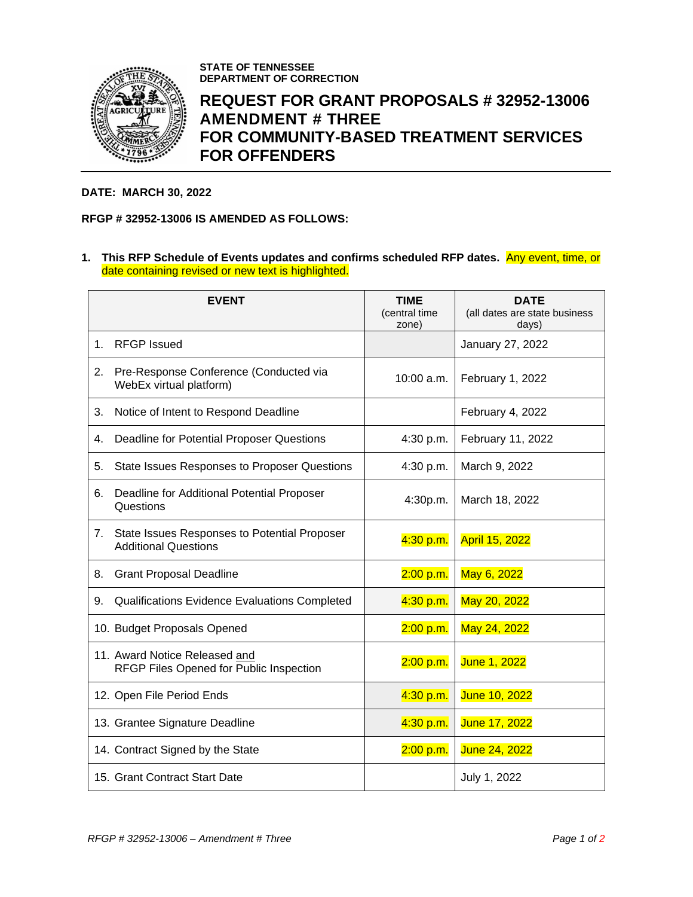

**STATE OF TENNESSEE DEPARTMENT OF CORRECTION**

## **REQUEST FOR GRANT PROPOSALS # 32952-13006 AMENDMENT # THREE FOR COMMUNITY-BASED TREATMENT SERVICES FOR OFFENDERS**

## **DATE: MARCH 30, 2022**

## **RFGP # 32952-13006 IS AMENDED AS FOLLOWS:**

**1. This RFP Schedule of Events updates and confirms scheduled RFP dates.** Any event, time, or date containing revised or new text is highlighted.

|    | <b>EVENT</b>                                                                | <b>TIME</b><br>(central time<br>zone) | <b>DATE</b><br>(all dates are state business<br>days) |
|----|-----------------------------------------------------------------------------|---------------------------------------|-------------------------------------------------------|
| 1. | <b>RFGP Issued</b>                                                          |                                       | January 27, 2022                                      |
| 2. | Pre-Response Conference (Conducted via<br>WebEx virtual platform)           | 10:00 a.m.                            | February 1, 2022                                      |
| 3. | Notice of Intent to Respond Deadline                                        |                                       | February 4, 2022                                      |
| 4. | Deadline for Potential Proposer Questions                                   | 4:30 p.m.                             | February 11, 2022                                     |
| 5. | State Issues Responses to Proposer Questions                                | 4:30 p.m.                             | March 9, 2022                                         |
| 6. | Deadline for Additional Potential Proposer<br>Questions                     | 4:30p.m.                              | March 18, 2022                                        |
| 7. | State Issues Responses to Potential Proposer<br><b>Additional Questions</b> | 4:30 p.m.                             | <b>April 15, 2022</b>                                 |
| 8. | <b>Grant Proposal Deadline</b>                                              | 2:00 p.m.                             | May 6, 2022                                           |
| 9. | Qualifications Evidence Evaluations Completed                               | 4:30 p.m.                             | May 20, 2022                                          |
|    | 10. Budget Proposals Opened                                                 | 2:00 p.m.                             | May 24, 2022                                          |
|    | 11. Award Notice Released and<br>RFGP Files Opened for Public Inspection    | 2:00 p.m.                             | June 1, 2022                                          |
|    | 12. Open File Period Ends                                                   | 4:30 p.m.                             | June 10, 2022                                         |
|    | 13. Grantee Signature Deadline                                              | 4:30 p.m.                             | June 17, 2022                                         |
|    | 14. Contract Signed by the State                                            | 2:00 p.m.                             | June 24, 2022                                         |
|    | 15. Grant Contract Start Date                                               |                                       | July 1, 2022                                          |